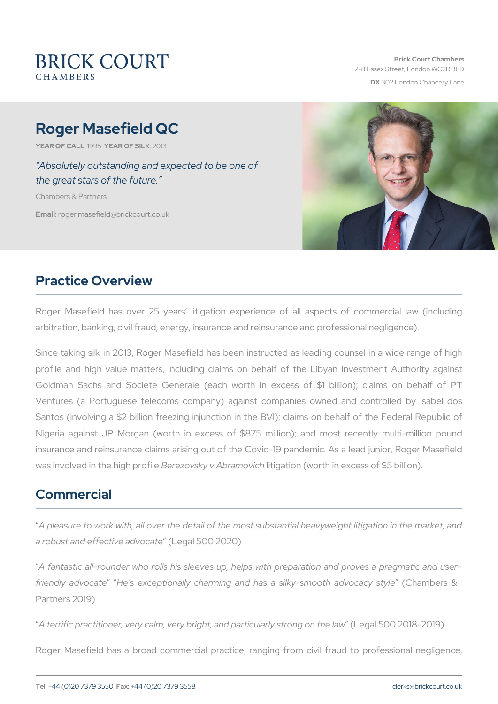# Roger Masefield QC

YEAR OF CALLSLYSEAR OF SIZIOK 13

 Absolutely outstanding and expected to be one of the great stars of the future.

Chambers & Partners

Emairloger.masefield@brickcourt.co.uk

# Practice Overview

Roger Masefield has over 25 years litigation experience of all arbitration, banking, civil fraud, energy, insurance and reinsurance are

Since taking silk in 2013, Roger Masefield has been instructed as Id profile and high value matters, including claims on behalf of the Goldman Sachs and Societe Generale (each worth in excess of Ventures (a Portuguese telecoms company) against companies own Santos (involving a \$2 billion freezing injunction in the BVI); claim Nigeria against JP Morgan (worth in excess of \$875 million); an insurance and reinsurance claims arising out of the Covid-19 pandem was involved in the Bheirgehz povoskiy ev Abriatmigpaytiicohn (worth in excess of \$5 bi

## Commercial

A pleasure to work with, all over the detail of the most substantial h a robust and effectiv $é$ Læg $\psi$ vadc $5a0$   $\theta$  2020)

A fantastic all-rounder who rolls his sleeves up, helps with prepara friendly advolveatse exceptionally charming and has a silk $G$ hammoberts  $a$ Partners 2019)

A terrific practitioner, very calm, very bright, an(d epopartified Da 210y1 \$1-1200n109

Roger Masefield has a broad commercial practice, ranging from civ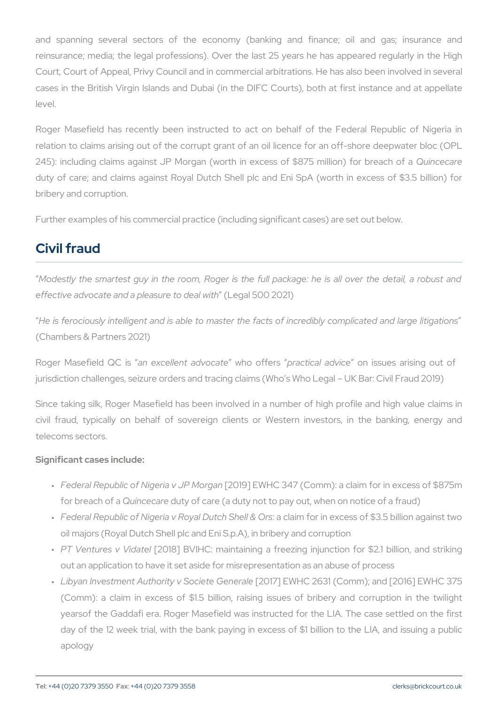and spanning several sectors of the economy (banking and f reinsurance; media; the legal professions). Over the last 25 years Court, Court of Appeal, Privy Council and in commercial arbitrations. cases in the British Virgin Islands and Dubai (in the DIFC Courts). level.

Roger Masefield has recently been instructed to act on behalf of relation to claims arising out of the corrupt grant of an oil licence for 245): including claims against JP Morgan (worth in excelsusingte chaore 5 duty of care; and claims against Royal Dutch Shell plc and Eni Sp bribery and corruption.

Further examples of his commercial practice (including significant cases)

## Civil fraud

Modestly the smartest guy in the room, Roger is the full package: effective advocate and a plea $\frac{1}{2}$  and  $\frac{1}{2}$  and  $\frac{1}{2}$  and  $\frac{1}{2}$  and  $\frac{1}{2}$  and  $\frac{1}{2}$  and  $\frac{1}{2}$  and  $\frac{1}{2}$  and  $\frac{1}{2}$  and  $\frac{1}{2}$  and  $\frac{1}{2}$  and  $\frac{1}{2}$  and  $\frac{1}{2}$  and  $\frac{1}{2}$ 

He is ferociously intelligent and is able to master the facts of incre (Chambers & Partners 2021)

Roger Masefield nQ  $\&x$  dellent adwoto a to formatical adovnices sues arising on the original of  $x$ jurisdiction challenges, seizure orders and tracing claims (Who s Who

Since taking silk, Roger Masefield has been involved in a number of civil fraud, typically on behalf of sovereign clients or Western telecoms sectors.

Significant cases include:

- " Federal Republic of Nige [12a0 1v9 JI PE WM bollCg a3r4 7 (Comm): a claim for in for breach Quinace coburtey of care (a duty not to pay out, when on notic
- " Federal Republic of Nigeria v Royal cDauitmonfoGrhenlle& c@enss of \$3.5 bil oil majors (Royal Dutch Shell plc and Eni S.p.A), in bribery and co
- " PT Ventures v[2V0i1d&a]teBIVIHC: maintaining a freezing injunction fo out an application to have it set aside for misrepresentation as an
- " Libyan Investment Authority v[2SCont7 of the WGHe Che 2r&n 3rd (Comm); and [201 (Comm): a claim in excess of  $$1.5$  billion, raising issues of  $\blacksquare$ yearsof the Gaddafi era. Roger Masefield was instructed for the day of the 12 week trial, with the bank paying in excess of \$1 b apology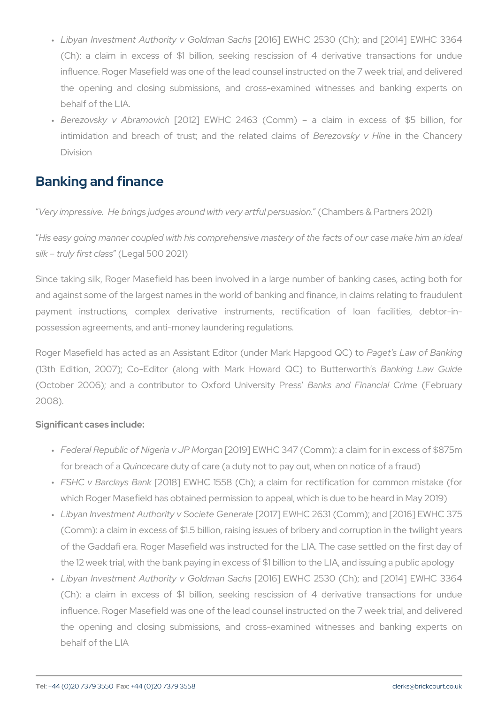- " Libyan Investment Authority [v20G1o61]dnEaWhH **S**a2:530 (Ch); and [2014]  $(Ch)$ : a claim in excess of \$1 billion, seeking rescission of influence. Roger Masefield was one of the lead counsel instructed the opening and closing submissions, and cross-examined with behalf of the LIA.
- "Berezovsky v Ab[2a0m1| 2012| Abrah LC 2463 (Comm) a claim in ex intimidation and breach of trust; an**Beta povskated Hthe anChand**cen Division

# Banking and finance

Very impressive. He brings judges around wouthametry saround represtusa 2021

His easy going manner coupled with his comprehensive mastery of the silk truly fir(sLtegal 500 2021)

Since taking silk, Roger Masefield has been involved in a large num and against some of the largest names in the world of banking and fin payment instructions, complex derivative instruments, rectification possession agreements, and anti-money laundering regulations.

Roger Masefield has acted as an Assistant Editor Paget desr LMaaw kof HaBpagn (13th Edition, 2007); Co-Editor (along with Mark Bathokwinagd Lou Cuoi (October 2006); and a contributor to CEXafrokrsd almody eFrisnial on CFP arbers Cosairmy e 2008).

Significant cases include:

- " Federal Republic of Nige [12a0 1v9 JI PE WM bollCg a3r4 7 (Comm): a claim for in for breach Quinace coburtey of care (a duty not to pay out, when on notic
- " FSHC v Barclą̃ ¢ \$ 1 B an E W H C 1558 (Ch); a claim for rectification which Roger Masefield has obtained permission to appeal, which is
- " Libyan Investment Authority v[2SCont7 of the WGHe Che 2r&n 3rd (Comm); and [201 (Comm): a claim in excess of  $$1.5$  billion, raising issues of briber of the Gaddafi era. Roger Masefield was instructed for the LIA. T the 12 week trial, with the bank paying in excess of \$1 billion to the LIA
- " Libyan Investment Authority [v20G1o61]dnEaWhH **S**a2:530 (Ch); and [2014]  $(Ch):$  a claim in excess of \$1 billion, seeking rescission of influence. Roger Masefield was one of the lead counsel instructed the opening and closing submissions, and cross-examined wi behalf of the LIA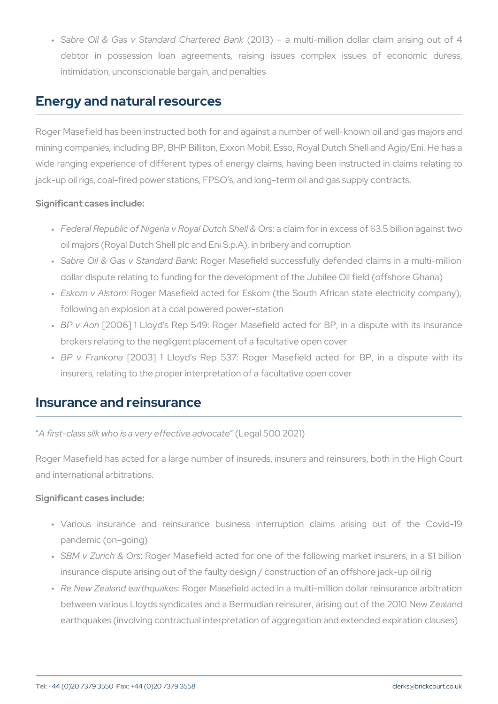" Sabre Oil & Gas v Standar(d2 OC1h3a) rter**a**dm Buatrikm illion dollar claim debtor in possession loan agreements, raising issues com intimidation, unconscionable bargain, and penalties

### Energy and natural resources

Roger Masefield has been instructed both for and against a number o mining companies, including BP, BHP Billiton, Exxon Mobil, Esso, Roy wide ranging experience of different types of energy claims, having jack-up oil rigs, coal-fired power stations, FPSO s, and long-term oil

Significant cases include:

- " Federal Republic of Nigeria v Royal cDauitmonfoGrhenlle& c@enss of \$3.5 bil oil majors (Royal Dutch Shell plc and Eni S.p.A), in bribery and co
- " Sabre Oil & Gas v StaRnodgaerrd MBaasnekfield successfully defended clai dollar dispute relating to funding for the development of the Jubile
- " Eskom v AlsRogner Masefield acted for Eskom (the South African following an explosion at a coal powered power-station
- " BP v Ą̃0006] 1 Lloyd's Rep 549: Roger Masefield acted for BP, brokers relating to the negligent placement of a facultative open c
- " BP v Fran 2003] 1 Lloyd s Rep 537: Roger Masefield acted for insurers, relating to the proper interpretation of a facultative oper

#### Insurance and reinsurance

A first-class silk who is a very (*Left patis 00 a 200 20 the* 

Roger Masefield has acted for a large number of insureds, insurers a and international arbitrations.

Significant cases include:

- " Various insurance and reinsurance business interruption cla pandemic (on-going)
- " SBM v Zurich R&ogQerrs Masefield acted for one of the following mar insurance dispute arising out of the faulty design / construction of
- " Re New Zealand earRibgeakMessefield acted in a multi-million dollar between various Lloyds syndicates and a Bermudian reinsurer, ari earthquakes (involving contractual interpretation of aggregation a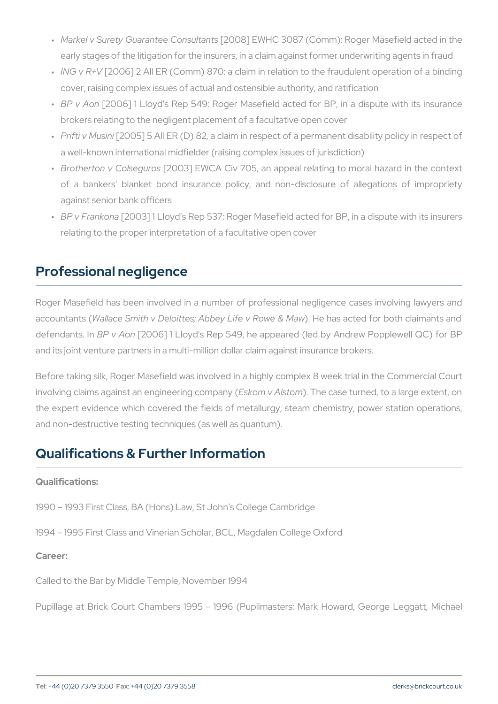- " Markel v Surety Guarant[e2e0 CC&]n £ W 1 # 1 08 087 (Comm): Roger Masefie early stages of the litigation for the insurers, in a claim against former
- " ING v  $R2+006$ ] 2 All ER (Comm) 870: a claim in relation to the frau cover, raising complex issues of actual and ostensible authority, and
- " BP v Ą̃0006] 1 Lloyd's Rep 549: Roger Masefield acted for BP, brokers relating to the negligent placement of a facultative open c
- " Prifti v M[206 On5i] 5 All ER (D) 82, a claim in respect of a permanent a well-known international midfielder (raising complex issues of jurisdiction)
- " Brotherton v Co[l $\triangle$ @@o3u]roEsWCA Civ 705, an appeal relating to mora of a bankers blanket bond insurance policy, and non-disclo against senior bank officers
- " BP v Fran[kono3] 1 Lloyd s Rep 537: Roger Masefield acted for BP, relating to the proper interpretation of a facultative open cover

# Professional negligence

Roger Masefield has been involved in a number of professional neg accounta W tas Il ace Smith v Deloittes; Abbey. LHive hyas Raw tee ob flora w oth clai defendant BP In A<sup>[20</sup>006] 1 Lloyd's Rep 549, he appeared (led by Andre and its joint venture partners in a multi-million dollar claim against in

Before taking silk, Roger Masefield was involved in a highly complex involving claims against an engEisne eminy and some noyase turned, to a large the expert evidence which covered the fields of metallurgy, steam c and non-destructive testing techniques (as well as quantum).

### Qualifications & Further Information

Qualifications:

1990 1993 First Class, BA (Hons) Law, St John s College Cambridge

1994 1995 First Class and Vinerian Scholar, BCL, Magdalen College Career:

Called to the Bar by Middle Temple, November 1994

Pupillage at Brick Court Chambers 1995 - 1996 (Pupilmasters: Mar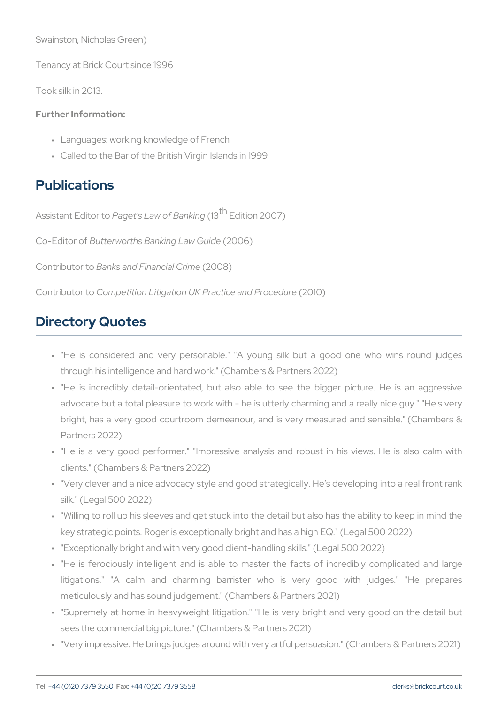Swainston, Nicholas Green)

Tenancy at Brick Court since 1996

Took silk in 2013.

Further Information:

- " Languages: working knowledge of French
- " Called to the Bar of the British Virgin Islands in 1999

### Publications

Assistant EdPiagnett's Law of  $(B<sup>t</sup>$  $B<sup>t</sup>$  Exdition 2007)

Co-Edito Budterworths Banking 2L0a0v6 ) Guide

Contributor to Banks and Financial Crime (2008)

Contribut Crompetition Litigation UK Pract (20021 and Procedure

# Directory Quotes

- " "He is considered and very personable." "A young silk but a through his intelligence and hard work." (Chambers & Partners 2022)
- " "He is incredibly detail-orientated, but also able to see the I advocate but a total pleasure to work with - he is utterly charmin bright, has a very good courtroom demeanour, and is very meas Partners 2022)
- " "He is a very good performer." "Impressive analysis and robus clients." (Chambers & Partners 2022)
- " "Very clever and a nice advocacy style and good strategically. He silk." (Legal 500 2022)
- " "Willing to roll up his sleeves and get stuck into the detail but al key strategic points. Roger is exceptionally bright and has a high
- " "Exceptionally bright and with very good client-handling skills." (L
- " "He is ferociously intelligent and is able to master the facts litigations." "A calm and charming barrister who is very meticulously and has sound judgement." (Chambers & Partners 2021)
- " "Supremely at home in heavyweight litigation." "He is very bright sees the commercial big picture." (Chambers & Partners 2021)
- " "Very impressive. He brings judges around with very artful persuas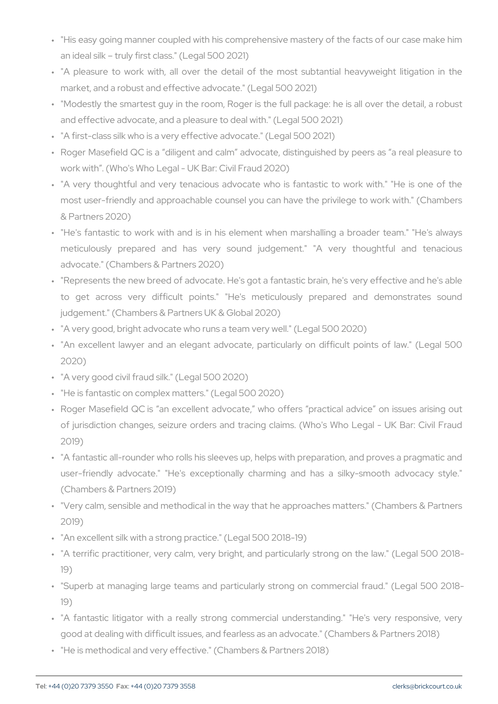- " "His easy going manner coupled with his comprehensive mastery o an ideal silk truly first class." (Legal 500 2021)
- " "A pleasure to work with, all over the detail of the most sub market, and a robust and effective advocate." (Legal 500 2021)
- " "Modestly the smartest guy in the room, Roger is the full package and effective advocate, and a pleasure to deal with." (Legal 500 2
- " "A first-class silk who is a very effective advocate." (Legal 500 20
- " Roger Masefield QC is a diligent and calm advocate, distinguisl work with . (Who's Who Legal - UK Bar: Civil Fraud 2020)
- " "A very thoughtful and very tenacious advocate who is fantastic most user-friendly and approachable counsel you can have the pi & Partners 2020)
- " "He's fantastic to work with and is in his element when marsha meticulously prepared and has very sound judgement." "A advocate." (Chambers & Partners 2020)
- " "Represents the new breed of advocate. He's got a fantastic brain to get across very difficult points." "He's meticulously p judgement." (Chambers & Partners UK & Global 2020)
- " "A very good, bright advocate who runs a team very well." (Legal 500)
- " "An excellent lawyer and an elegant advocate, particularly on d 2020)
- " "A very good civil fraud silk." (Legal 500 2020)
- " "He is fantastic on complex matters." (Legal 500 2020)
- " Roger Masefield QC is an excellent advocate, who offers prac of jurisdiction changes, seizure orders and tracing claims. (Who 2019)
- " "A fantastic all-rounder who rolls his sleeves up, helps with prepa user-friendly advocate." "He's exceptionally charming and has (Chambers & Partners 2019)
- " "Very calm, sensible and methodical in the way that he approache 2019)
- " "An excellent silk with a strong practice." (Legal 500 2018-19)
- " "A terrific practitioner, very calm, very bright, and particularly s 19)
- " "Superb at managing large teams and particularly strong on com 19)
- " "A fantastic litigator with a really strong commercial understar good at dealing with difficult issues, and fearless as an advocate.
- " "He is methodical and very effective." (Chambers & Partners 2018)